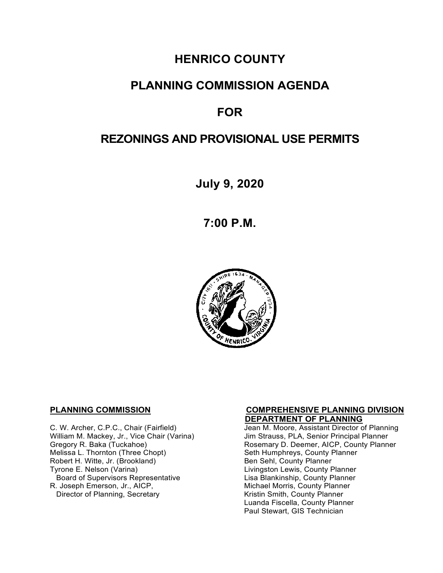# **HENRICO COUNTY**

# **PLANNING COMMISSION AGENDA**

# **FOR**

# **REZONINGS AND PROVISIONAL USE PERMITS**

**July 9, 2020**

**7:00 P.M.**



 **DEPARTMENT OF PLANNING**  William M. Mackey, Jr., Vice Chair (Varina)<br>Gregory R. Baka (Tuckahoe) Robert H. Witte, Jr. (Brookland)<br>Tyrone E. Nelson (Varina) Board of Supervisors Representative<br>R. Joseph Emerson, Jr., AICP, Director of Planning, Secretary

# **PLANNING COMMISSION COMPREHENSIVE PLANNING DIVISION**

Jean M. Moore, Assistant Director of Planning<br>Jim Strauss, PLA, Senior Principal Planner Gregory R. Baka (Tuckahoe) Rosemary D. Deemer, AICP, County Planner<br>Melissa L. Thornton (Three Chopt) Research Seth Humphreys, County Planner Seth Humphreys, County Planner<br>Ben Sehl, County Planner Livingston Lewis, County Planner<br>Lisa Blankinship, County Planner Michael Morris, County Planner<br>Kristin Smith, County Planner Luanda Fiscella, County Planner Paul Stewart, GIS Technician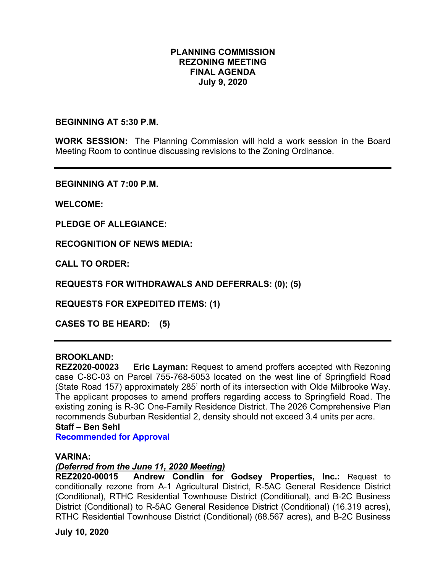#### **PLANNING COMMISSION REZONING MEETING FINAL AGENDA July 9, 2020**

#### **BEGINNING AT 5:30 P.M.**

**WORK SESSION:** The Planning Commission will hold a work session in the Board Meeting Room to continue discussing revisions to the Zoning Ordinance.

**BEGINNING AT 7:00 P.M.**

**WELCOME:**

**PLEDGE OF ALLEGIANCE:**

**RECOGNITION OF NEWS MEDIA:**

**CALL TO ORDER:**

**REQUESTS FOR WITHDRAWALS AND DEFERRALS: (0); (5)** 

**REQUESTS FOR EXPEDITED ITEMS: (1)** 

**CASES TO BE HEARD: (5)** 

### **BROOKLAND:**

**REZ2020-00023 Eric Layman:** Request to amend proffers accepted with Rezoning case C-8C-03 on Parcel 755-768-5053 located on the west line of Springfield Road (State Road 157) approximately 285' north of its intersection with Olde Milbrooke Way. The applicant proposes to amend proffers regarding access to Springfield Road. The existing zoning is R-3C One-Family Residence District. The 2026 Comprehensive Plan recommends Suburban Residential 2, density should not exceed 3.4 units per acre. **Staff – Ben Sehl** 

**Recommended for Approval**

#### **VARINA:**

#### *(Deferred from the June 11, 2020 Meeting)*

**REZ2020-00015 Andrew Condlin for Godsey Properties, Inc.:** Request to conditionally rezone from A-1 Agricultural District, R-5AC General Residence District (Conditional), RTHC Residential Townhouse District (Conditional), and B-2C Business District (Conditional) to R-5AC General Residence District (Conditional) (16.319 acres), RTHC Residential Townhouse District (Conditional) (68.567 acres), and B-2C Business

**July 10, 2020**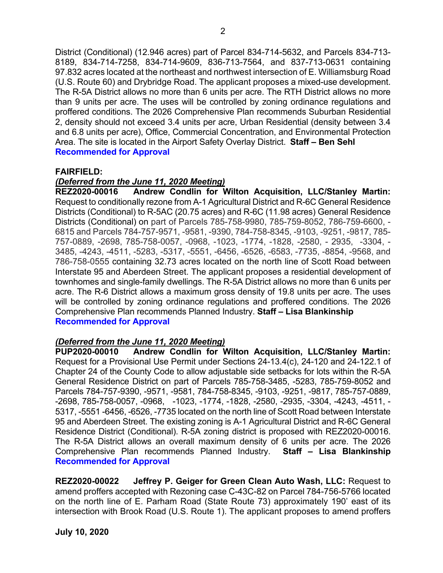District (Conditional) (12.946 acres) part of Parcel 834-714-5632, and Parcels 834-713- 8189, 834-714-7258, 834-714-9609, 836-713-7564, and 837-713-0631 containing 97.832 acres located at the northeast and northwest intersection of E. Williamsburg Road (U.S. Route 60) and Drybridge Road. The applicant proposes a mixed-use development. The R-5A District allows no more than 6 units per acre. The RTH District allows no more than 9 units per acre. The uses will be controlled by zoning ordinance regulations and proffered conditions. The 2026 Comprehensive Plan recommends Suburban Residential 2, density should not exceed 3.4 units per acre, Urban Residential (density between 3.4 and 6.8 units per acre), Office, Commercial Concentration, and Environmental Protection Area. The site is located in the Airport Safety Overlay District. **Staff – Ben Sehl Recommended for Approval**

#### **FAIRFIELD:**

#### *(Deferred from the June 11, 2020 Meeting)*

**REZ2020-00016 Andrew Condlin for Wilton Acquisition, LLC/Stanley Martin:** Request to conditionally rezone from A-1 Agricultural District and R-6C General Residence Districts (Conditional) to R-5AC (20.75 acres) and R-6C (11.98 acres) General Residence Districts (Conditional) on part of Parcels 785-758-9980, 785-759-8052, 786-759-6600, - 6815 and Parcels 784-757-9571, -9581, -9390, 784-758-8345, -9103, -9251, -9817, 785- 757-0889, -2698, 785-758-0057, -0968, -1023, -1774, -1828, -2580, - 2935, -3304, - 3485, -4243, -4511, -5283, -5317, -5551, -6456, -6526, -6583, -7735, -8854, -9568, and 786-758-0555 containing 32.73 acres located on the north line of Scott Road between Interstate 95 and Aberdeen Street. The applicant proposes a residential development of townhomes and single-family dwellings. The R-5A District allows no more than 6 units per acre. The R-6 District allows a maximum gross density of 19.8 units per acre. The uses will be controlled by zoning ordinance regulations and proffered conditions. The 2026 Comprehensive Plan recommends Planned Industry. **Staff – Lisa Blankinship Recommended for Approval**

#### *(Deferred from the June 11, 2020 Meeting)*

**PUP2020-00010 Andrew Condlin for Wilton Acquisition, LLC/Stanley Martin:** Request for a Provisional Use Permit under Sections 24-13.4(c), 24-120 and 24-122.1 of Chapter 24 of the County Code to allow adjustable side setbacks for lots within the R-5A General Residence District on part of Parcels 785-758-3485, -5283, 785-759-8052 and Parcels 784-757-9390, -9571, -9581, 784-758-8345, -9103, -9251, -9817, 785-757-0889, -2698, 785-758-0057, -0968, -1023, -1774, -1828, -2580, -2935, -3304, -4243, -4511, - 5317, -5551 -6456, -6526, -7735 located on the north line of Scott Road between Interstate 95 and Aberdeen Street. The existing zoning is A-1 Agricultural District and R-6C General Residence District (Conditional). R-5A zoning district is proposed with REZ2020-00016. The R-5A District allows an overall maximum density of 6 units per acre. The 2026 Comprehensive Plan recommends Planned Industry. **Staff – Lisa Blankinship Recommended for Approval**

**REZ2020-00022 Jeffrey P. Geiger for Green Clean Auto Wash, LLC:** Request to amend proffers accepted with Rezoning case C-43C-82 on Parcel 784-756-5766 located on the north line of E. Parham Road (State Route 73) approximately 190' east of its intersection with Brook Road (U.S. Route 1). The applicant proposes to amend proffers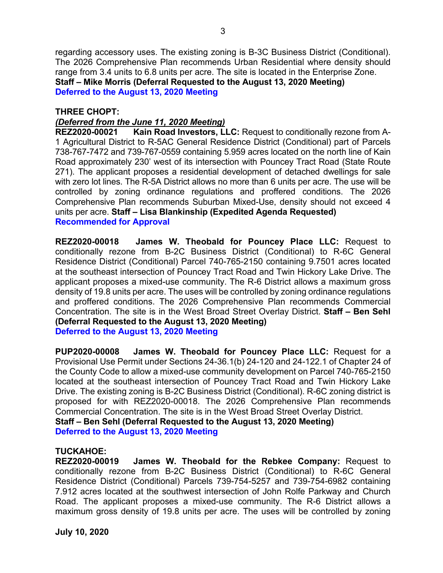regarding accessory uses. The existing zoning is B-3C Business District (Conditional). The 2026 Comprehensive Plan recommends Urban Residential where density should range from 3.4 units to 6.8 units per acre. The site is located in the Enterprise Zone. **Staff – Mike Morris (Deferral Requested to the August 13, 2020 Meeting) Deferred to the August 13, 2020 Meeting**

3

#### **THREE CHOPT:**

### *(Deferred from the June 11, 2020 Meeting)*

**REZ2020-00021 Kain Road Investors, LLC:** Request to conditionally rezone from A-1 Agricultural District to R-5AC General Residence District (Conditional) part of Parcels 738-767-7472 and 739-767-0559 containing 5.959 acres located on the north line of Kain Road approximately 230' west of its intersection with Pouncey Tract Road (State Route 271). The applicant proposes a residential development of detached dwellings for sale with zero lot lines. The R-5A District allows no more than 6 units per acre. The use will be controlled by zoning ordinance regulations and proffered conditions. The 2026 Comprehensive Plan recommends Suburban Mixed-Use, density should not exceed 4 units per acre. **Staff – Lisa Blankinship (Expedited Agenda Requested) Recommended for Approval**

**REZ2020-00018 James W. Theobald for Pouncey Place LLC:** Request to conditionally rezone from B-2C Business District (Conditional) to R-6C General Residence District (Conditional) Parcel 740-765-2150 containing 9.7501 acres located at the southeast intersection of Pouncey Tract Road and Twin Hickory Lake Drive. The applicant proposes a mixed-use community. The R-6 District allows a maximum gross density of 19.8 units per acre. The uses will be controlled by zoning ordinance regulations and proffered conditions. The 2026 Comprehensive Plan recommends Commercial Concentration. The site is in the West Broad Street Overlay District. **Staff – Ben Sehl (Deferral Requested to the August 13, 2020 Meeting) Deferred to the August 13, 2020 Meeting**

**PUP2020-00008 James W. Theobald for Pouncey Place LLC:** Request for a Provisional Use Permit under Sections 24-36.1(b) 24-120 and 24-122.1 of Chapter 24 of the County Code to allow a mixed-use community development on Parcel 740-765-2150 located at the southeast intersection of Pouncey Tract Road and Twin Hickory Lake Drive. The existing zoning is B-2C Business District (Conditional). R-6C zoning district is proposed for with REZ2020-00018. The 2026 Comprehensive Plan recommends Commercial Concentration. The site is in the West Broad Street Overlay District. **Staff – Ben Sehl (Deferral Requested to the August 13, 2020 Meeting)**

**Deferred to the August 13, 2020 Meeting**

#### **TUCKAHOE:**

**REZ2020-00019 James W. Theobald for the Rebkee Company:** Request to conditionally rezone from B-2C Business District (Conditional) to R-6C General Residence District (Conditional) Parcels 739-754-5257 and 739-754-6982 containing 7.912 acres located at the southwest intersection of John Rolfe Parkway and Church Road. The applicant proposes a mixed-use community. The R-6 District allows a maximum gross density of 19.8 units per acre. The uses will be controlled by zoning